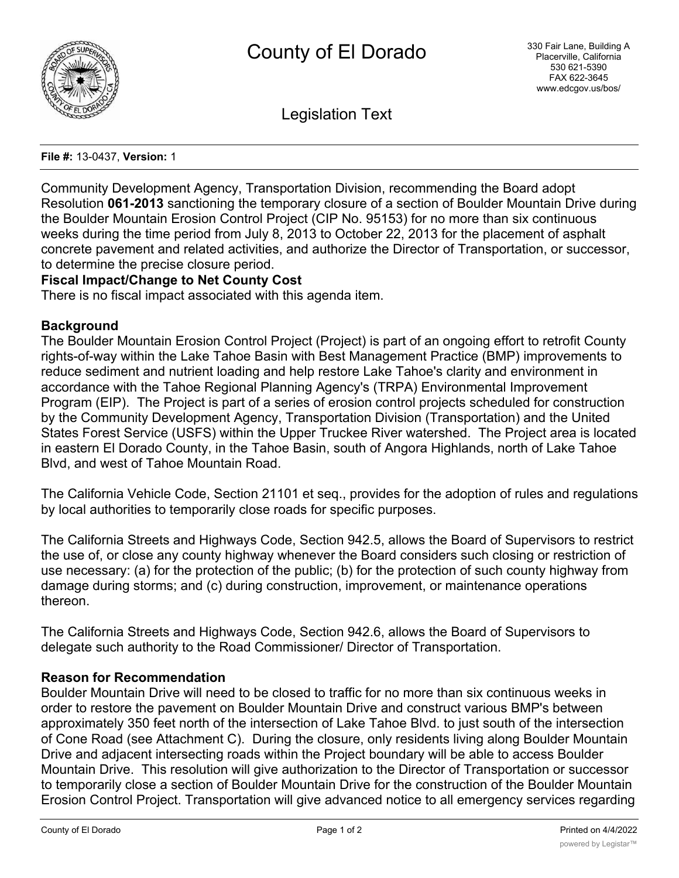

Legislation Text

#### **File #:** 13-0437, **Version:** 1

Community Development Agency, Transportation Division, recommending the Board adopt Resolution **061-2013** sanctioning the temporary closure of a section of Boulder Mountain Drive during the Boulder Mountain Erosion Control Project (CIP No. 95153) for no more than six continuous weeks during the time period from July 8, 2013 to October 22, 2013 for the placement of asphalt concrete pavement and related activities, and authorize the Director of Transportation, or successor, to determine the precise closure period.

# **Fiscal Impact/Change to Net County Cost**

There is no fiscal impact associated with this agenda item.

### **Background**

The Boulder Mountain Erosion Control Project (Project) is part of an ongoing effort to retrofit County rights-of-way within the Lake Tahoe Basin with Best Management Practice (BMP) improvements to reduce sediment and nutrient loading and help restore Lake Tahoe's clarity and environment in accordance with the Tahoe Regional Planning Agency's (TRPA) Environmental Improvement Program (EIP). The Project is part of a series of erosion control projects scheduled for construction by the Community Development Agency, Transportation Division (Transportation) and the United States Forest Service (USFS) within the Upper Truckee River watershed. The Project area is located in eastern El Dorado County, in the Tahoe Basin, south of Angora Highlands, north of Lake Tahoe Blvd, and west of Tahoe Mountain Road.

The California Vehicle Code, Section 21101 et seq., provides for the adoption of rules and regulations by local authorities to temporarily close roads for specific purposes.

The California Streets and Highways Code, Section 942.5, allows the Board of Supervisors to restrict the use of, or close any county highway whenever the Board considers such closing or restriction of use necessary: (a) for the protection of the public; (b) for the protection of such county highway from damage during storms; and (c) during construction, improvement, or maintenance operations thereon.

The California Streets and Highways Code, Section 942.6, allows the Board of Supervisors to delegate such authority to the Road Commissioner/ Director of Transportation.

### **Reason for Recommendation**

Boulder Mountain Drive will need to be closed to traffic for no more than six continuous weeks in order to restore the pavement on Boulder Mountain Drive and construct various BMP's between approximately 350 feet north of the intersection of Lake Tahoe Blvd. to just south of the intersection of Cone Road (see Attachment C). During the closure, only residents living along Boulder Mountain Drive and adjacent intersecting roads within the Project boundary will be able to access Boulder Mountain Drive. This resolution will give authorization to the Director of Transportation or successor to temporarily close a section of Boulder Mountain Drive for the construction of the Boulder Mountain Erosion Control Project. Transportation will give advanced notice to all emergency services regarding